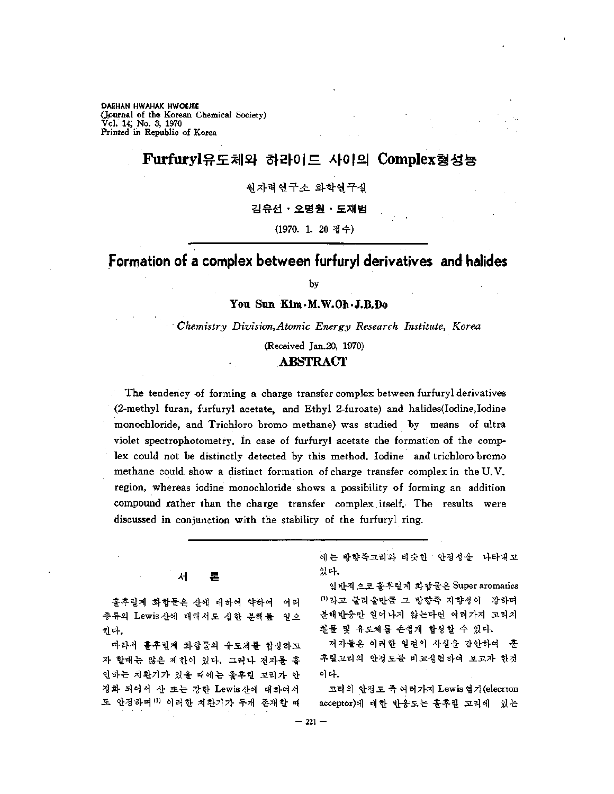**DAEHAN HWAHAK HWOEJEE** (Journal of the Korean Chemical Society) Vol. 14, No. 3, 1970 Printed in Republic of Korea

# Furfuryl유도체와 하라이드 사이의 Complex형성능

원자력연구소 화학연구실

김유선•오명원•도재범

(1970. 1. 20 접수)

# Formation of a complex between furfuryl derivatives and halides

by

**You Sun Kim.M.W.Oh.J.B.Do**

*Chemistry Division,Atomic Energy Research Institute^ Korea*

(Received Jan.20, 1970)

### **ABSTRACT**

The tendency of forming a charge transfer complex between furfuryl derivatives (2-methyl furan, furfuryl acetate, and Ethyl 2-furoate) and halides(Iodine,Iodine monochloride, and Trichloro bromo methane) was studied by means of ultra violet spectrophotometry. In case of furfuryl acetate the formation of the complex could not be distinctly detected by this method. Iodine and trichloro bromo methane could show a distinct formation of charge transfer complex in the U.V. region, whereas iodine monochloride shows a possibility of forming an addition compound rather than the charge transfer complex itself. The results were discussed in conjunction with the stability of the furfuryl ring.

> 서 론

훌후릴계 화합물은 산에 대하여 약하여 여러 종류의 Lewis산에 대해서도 심한 분해를 일으 킨다,

따라서 훌후릴계 화합물의 유도체를 합성하고 자 할때는 많은 제한이 있다. 그러나 전자를 흡 인하는 치환기가 있을 때에는 훌후릴 고리가 안 정화 되어서 또는 강한 Lewis산에 대하여서 도 안정하며 <sup>(1)</sup> 이러한 치환기가 두개 존재할 때

에는 방향족고리와 비슷한 안정성을 나타내고 있다.

반적 으로 훌후 화합물은 Super aromatics  $0$ 라고 불리울만큼 그 방향족 지향성이 강하며 분해반응만 일어나지 않는다면 여러가지 고리치 환물 및 유도체를 손쉽게 합성할 수 있다.

저자들은 이러한 일련의 사실을 감안하여 후릴고리의 안정도를 비교실험하여 보고자 한것 이다.

고리의 안정도 즉 여러가지 Lewis 염기(elecrton acceptor)에 대한 반응도는 훌후릴 고리에 있는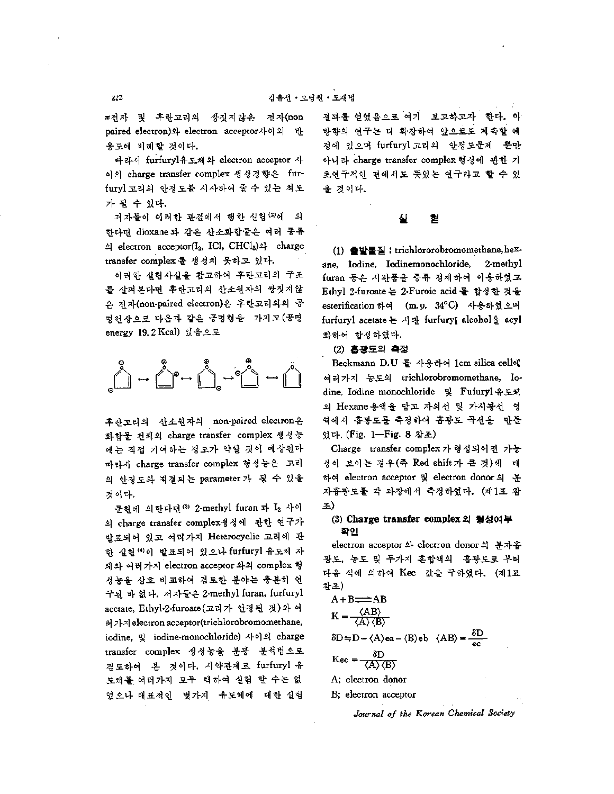$\pi$ 전자 및 후란고리의 쌍짓지않은 전자(non paired electron)와 electron acceptor사이의 반 옷도에 비례할 것이다.

따라서 furfuryl유도체와 electron acceptor 이의 charge transfer complex 생성경향은 furfuryl고리의 안정도를 시사하여 *줄수* 있는 척도 가 될 수 있다.

저자들이 이러한 관점에서 행한 실험<sup>(2)</sup>에 의 한다면 dioxane 과 같은 산소화합물은 여러 종류  $\text{Al}$  electron acceptor(I<sub>2</sub>, ICl, CHCl<sub>3</sub>)<sup>2</sup> charge transfer complex 를 생성치 못하고 있다.

이러한 실험사실을 참고하여 후란고리의 구조 를 살펴본다면 후란고리의 산소원자의 쌍짓지않 은 전자(non-paired electron)은 후란고리와의 공 명현상으로 다음과 같은 공명형을 "가지고(공명 energy 19.2 Kcal) 있음으로



후란고리의 산소원자의 non-paired electron 화합물 전체의 charge transfer complex 생성능 에는 직접 기여하는 정도가 약할 것이 예상된다 따라서 charge transfer complex 형성능은 고리 의 안정도와 직결되는 parameter 가 될 수 있을 것이다.

문헌에 의한다면 30 2-methyl furan 과 I2 사이 charge transfer complex 성에 관한 연구가 발표되어 있고 여러가지 Heterocyclic 고리에 관 한 실험(4)이 발표되어 있으나 furfuryl 유도체 자 체와 여러가지 electron acceptor 와의 complex 형 성능을 상호 비교하여 검토한 분야는 충분히 구된 없다. 자들은 2-methyl furan, furfuryl acetate, Ethyl-2-furoate(고리가 안정된 것)와 여 가지 electron acceptor(trichlorobromomethane, iodine, 및 iodine-monochloride) 사이의 charge transfer complex 생성능을 분광 분석법으로 검토하여 본 것이다. 시약관계로 furfuryl 유 도체를 여러가지 모두 택하여 실험 할 수는 없 었으나 대표적인 몇가지 유도체에 대한 실험

결과를 얻었음으로 여기 보고하고자 한다. 방향의 연구는 더 확장하여 앞으로도 계속할 예 정에 있으며 furfuryl 고리의 안정도문제 뿐만 아니라 charge transfer complex 형성에 관한 기 초연구적인 면에서도 뜻있는 연구라고 할 수 있 것이다.

#### 실 협

(1) 출발물질 : trichlororobromomethane, hexane, Iodine, lodinemonochloride, 2-methyl furan 등은 시관품을 증류 정제하여 이용하였고 Ethyl 2-furoate 는 2-Furoic acid 를 합성한 것을 esterihcation 하여 (m.p. 34°C) 사용하였으며 furfuryl acetate 는 서관 furfuryl alcohol을 acyl 화하여 합성하였다.

### (2) 흡광도의 측정

Beckmann D.U 를 사용하여 1cm silica cell에 가지 농도의 trichlorobromomethane, Iodine, Iodine monochloride Fufuryl 유도체 의 Hexane용액을 담고 자외선 및 가시광선 영 역에서 홉광도를 측정하여 흡광도 곡선을 만들 었다, (Fig. 1—Fig. 8 참조)

Charge transfer complex 가 형성되어진 가능 성이 보이는 경우(죽 Red shift가 큰 것)에 대 하여 electron acceptor 및 electron donor의 분 자흡광도를 각 과장에서 측정하였다. (제1표 참 조)

### **(3) Charge transfer complex** 형성여부 확인

electron acceptor 와 electron donor 의 분자흡 광도, 농도 및 두가지 혼합액의 -흉광도로 부터 다음 식에 의하여 Kec 값을 구하였다. (제1표 참조)

$$
A + B \rightleftharpoons AB
$$
  
\n
$$
K = \frac{\langle AB \rangle}{\langle A \rangle \langle B \rangle}
$$
  
\n
$$
\delta D = D - \langle A \rangle ea - \langle B \rangle eb \langle AB \rangle = \frac{\delta D}{ec}
$$
  
\n
$$
Kec = \frac{\delta D}{\langle A \rangle \langle B \rangle}
$$
  
\n
$$
A; electron donor
$$

B; electron acceptor

*Journal of the Korean Chemical Society*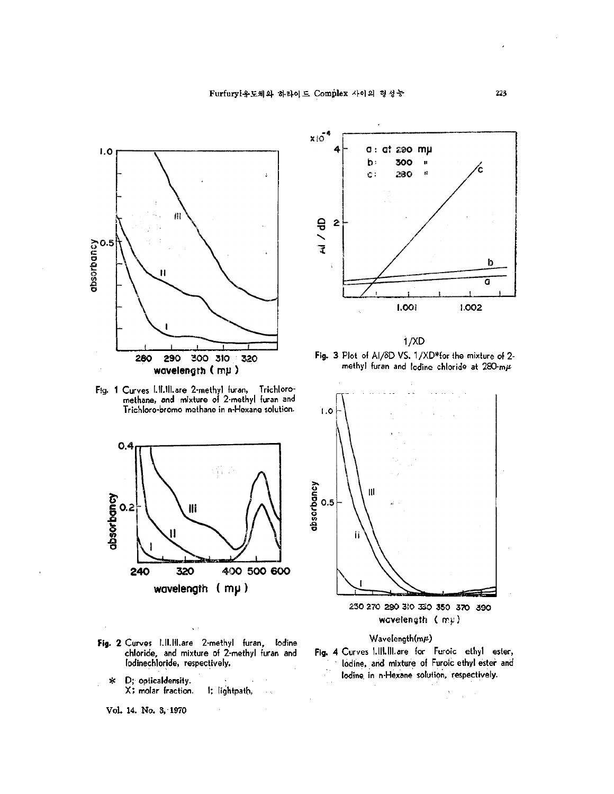

Fig. <sup>1</sup> Curves Lll.lll.are 2-methyl furan, Trichloromethane, and mixture of 2-methyl furan and Trichloro-bromo methane in n-Hexane solution.



- Fig. 2 Curves l.ll.lll.are 2-methyl furan, Iodine chloride, and mixture of 2-methyl furan and lodinechloride, respectively.
	- \* D; opticaldensity. X; molar fraction. I: lightpath,  $\sim$   $\gamma$
	- Vol. 14. No. 3, 1970



1/XD Fig. 3 Plot of AI/3D VS. 1/XD\*for the mixture of 2 methyl furan and lodine chloride at  $280$ -m $\mu$ 



250 270 290 3!0 330 350 370 390 wcvelenyth ( mu)

## Wavelength $(m\mu)$

Fig. 4 Curves I.111.III.are for Furoic ethyl ester, Iodine, and mixture of Furoic ethyl ester and Iodine, in n-Hexane solution, respectively.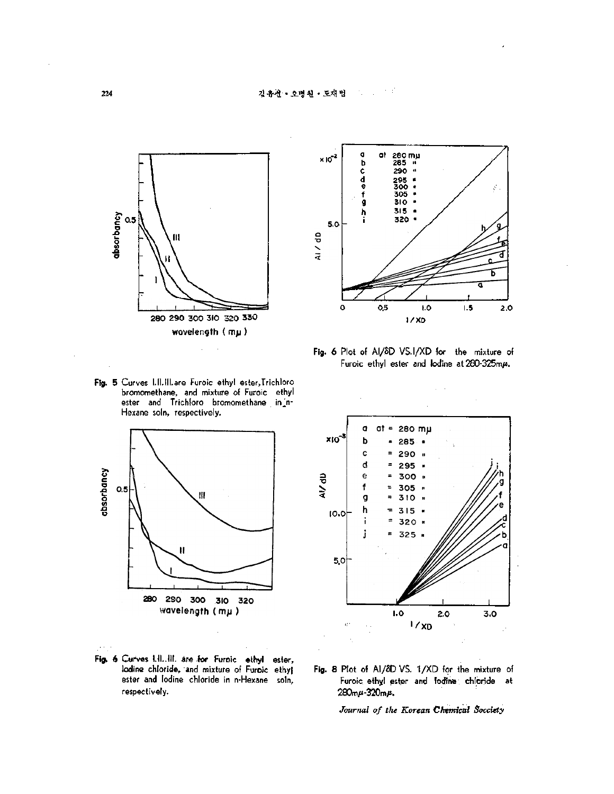

Fig. 5 Curves I.II.III.are Furoic ethyl ester,Trichloro bromomethane, and mixture of Furoic ethyl ester and Trichloro bromomethane in n-Hexane soln, respectively.



Fig. 6 Curves I.II..III. are for Furoic ethyl ester, lodine chloride, and mixture of Furoic ethyl ester and Iodine chloride in n-Hexane soln, respectively.



Fig. 6 Plot of AI/SD VS. I/XD for the mixture of Furoic ethyl ester and lodine at  $280-325$ m $\mu$ .



Fig. 8 Plot of Al/8D VS. 1/XD for the mixture of Furoic ethyl ester and lodine chloride at  $280m\mu - 320m\mu$ .

*Journal of the Korean Chemical Socciety*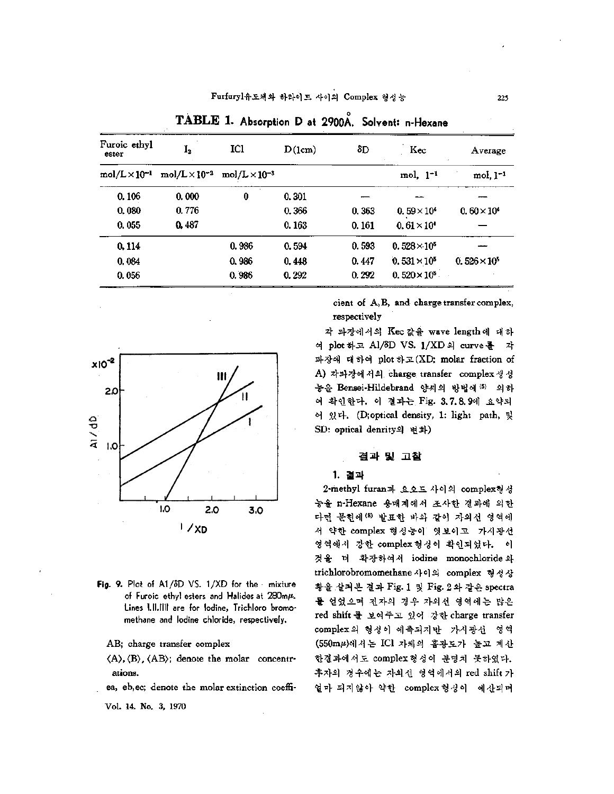| Furoic ethyl<br>ester  | $\mathbf{I}_2$         | IĊ1                    | D(1cm) | δD    | Kec                   | Average<br>٠          |
|------------------------|------------------------|------------------------|--------|-------|-----------------------|-----------------------|
| $mol/L \times 10^{-1}$ | $mol/L \times 10^{-3}$ | $mol/L \times 10^{-3}$ |        |       | $mol. 1-1$            | $mol, l^{-1}$         |
| 0.106                  | 0.000                  | 0                      | 0.301  |       |                       |                       |
| 0.080                  | 0.776                  |                        | 0.366  | 0.363 | $0.59\times10^{4}$    | $0.60 \times 10^{4}$  |
| 0.055                  | 0.487                  |                        | 0.163  | 0.161 | $0.61\times10^{4}$    |                       |
| 0.114                  |                        | 0.986                  | 0.594  | 0,593 | $0.528 \times 10^5$   |                       |
| 0.084                  |                        | 0.986                  | 0.448  | 0.447 | $0.531 \times 10^{5}$ | $0.526 \times 10^{5}$ |
| 0.056                  |                        | 0.986                  | 0.292  | 0.292 | $0.520 \times 10^{8}$ |                       |

**ABLE I. Absorption <sup>D</sup> at 2900A. Solvent n-Hexane**



- Fig. 9. Plot of A1/8D VS. 1/XD for the mixture of Furoic ethyl esters and Halides at  $280m\mu$ . Lines l.ll.llll are for Iodine, Trichloro bromomethane and Iodine chloride, respectively.
	- AB; charge transfer complex
	- $\langle A \rangle$ ,  $\langle B \rangle$ ,  $\langle AB \rangle$ ; denote the molar concentrations.
	- ea, eb,ec; denote the molar extinction coeffi-

Vol. 4. No. 3, 1970

cient of A,B, and charge transfer complex, respectively

각 파장에서의 Kec 값을 wave length에 대하 여 plot 하고 A1/8D VS. 1/XD의 curve 를 각 파장에 대하여 plot 하고(XD; molar fraction of A) 각파장에서의 charge transfer complex생성 능을 Bensei-Hildebrand 양씨의 방법에 5 의하 여 확인한다. 이 결과는 Fig. 3.7.8.9에 요약되 있다. (D;optical density, 1: light path, SD: optical denrity 변화)

### 결과 고찰

### 1.결과

2-methyl furan과 요오드 사이의 complex형성 능을 n-Hexane 용매계에서 조사한 결과에 의한 다면 문헌에 발표한 바와 같이 자외선 역에 서 약한 complex 형성능이 엿보이고 가시광선 영역에서 강한 complex형성이 확인되었다. 이 것을 더 확장하여서 iodine monochloride 와 trichlorobromomethane사이의 complex 형성상 황을 살펴본 결과 Fig. 1 및 Fig. 2 와 같은 spectra 얻었으며 전자의 경우 자외선 영역에는 많은 red shift 를 보여주고 있어 강한 charge transfer complex의 형성이 예측되지만 가시광선 영역 (550mμ)에서는 ICl 자체의 흡광도가 높고 계산 한결과에서도 complex 형성이 분명치 못하였다. 후자의 경우에는 자외선 영역에서의 red shift 가 얼마 되지않아 약한 complex 형성이 예산되며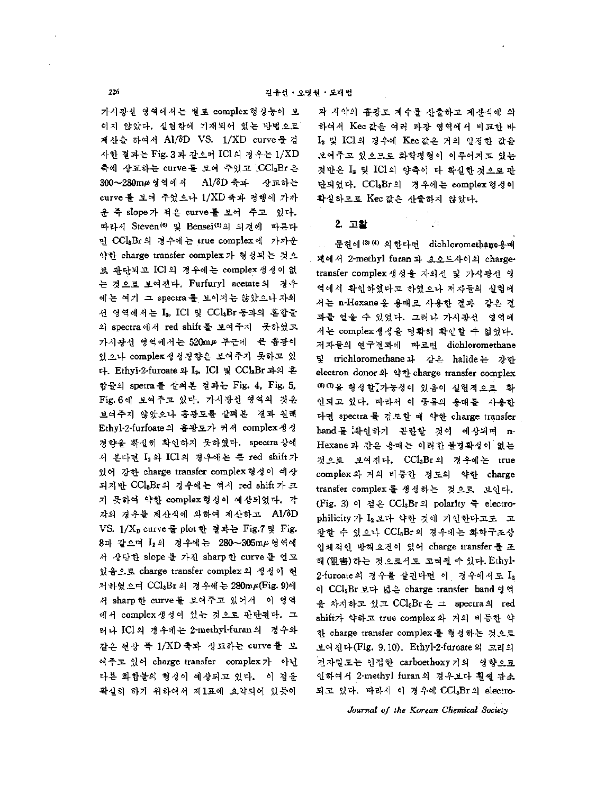가시광선 영역에서는 별로 complex 형성능이 보 이지 않았다. 실험항에 기재되어 있는 방법으로 계산을 하여서 Al/ôD VS. 1/XD curve 를 겸 사한 결과는 Fig. 3과 같으며 ICl의 경우는 1/XD 축에 상교하는 curve를 보여 주었고 (CClsBr 은 300∼280mμ영역에서 Al/δD 축과 상교하는 curve 를 보여 주었으나 1/XD축과 평행에 가까 운 즉 slope가 적은 curve를 보여 주고 있다. 따라서 Steven<sup>(6)</sup> 및 Bensei<sup>(5)</sup>의 의견에 따른다 면 CClsBr의 경우에는 true complex에 가까운 약한 charge transfer complex 가 형성되는 것으 로 판단되고 ICl의 경우에는 complex 생성이 없 것으로 보여진다. Furfuryl acetate 경우 에는 여기 그 spectra 를 보이지는 않았으나 자외 선 영역에서는 I<sub>2</sub>, ICl 및 CClsBr등과의 혼합물 의 spectra에서 red shift 를 보여주지 못하였고 가지광선 영역에서는 520m# 부근에 큰 흡광이 있으나 complex 생성경향은 보여주지 못하고 있 다. Ethyl-2-furoate 와 I<sub>2</sub>, ICl 및 CCl<sub>3</sub>Br 과의 혼 합물의 spetra 살펴본 결과는 Fig. 4, Fig. 5, Fig. 6 보여주고 있다. 가시광선 역의 것은 보여주지 않았으나 홉광도를 살펴본 결과 원래 Ethyl-2-furfoate의 흡광도가 커서 complex생성 경향을 확실히 확인하지 못하였다. spectra상에 서 본다면 L2와 ICl의 경우에는 큰 red shift가 있어 강한 charge transfer complex 형성이 예상 되지만 CClsBr의 경우에는 역시 red shift가 크 지 못하여 약한 complex형성이 예상되었다. 각 각의 경우를 계산식에 의하여 계산하고 Al/8D VS. 1/Xp curve 를 plot 한 결과는 Fig.7 및 Fig. 8파 같으며 I<sub>2</sub>의 경우에는 280~305mµ영역에 서 상당한 slope 를 가진 sharp 한 curve 를 얻고 있음으로 charge transfer complex의 생성이 현 저하였으며 CCl3Br 의 경우에는 280mµ(Fig. 9)에 서 sharp 한 curve를 보여주고 있어서 \_이 영역 에서 complex생성이 있는 것으로 판단된다. 그 러나 ICl의 경우에는 2-methyl-furan의 경우와 같은 현상 즉 1/XD 축과 상교하는 curve를 보 여주고 있어 charge transfer complex 가 아닌 다른 화합물의 형성이 예상되고 있다. 이 점을 확실히 하기 위하여서 제1표에 요약되어 있듯이

각 시약의 흡광도 계수를 산출하고 계산식에 의 하여서 Kec 값을 여러 파장 영역에서 비교한 바 L, 및 ICl의 경우에 Kec 값은 거의 일정한 값을 보여주고 있으므로 화학평형이 이루어지고 있는 것만은 I2 및 ICl의 양측이 다 확실한 것으로 관 단되었다. CClaBr의 경우에는 complex 형성이 확실하므로 Kec 값은 산출하지 않았다.

ΔY

### **2.** 고찰

문헌에<sup>(3) (4)</sup> 의한다면 dichloromethane용매 계에서 2-methyl furan 과 요오드사이의 chargetransfer complex 생성을 자외선 및 가시광선 영 역에서 확인하였다고 하였으나 저자들의 실험에 서는 n-Hexane 을 용매로 사용한 결과 같은 결 과를 얻을 있었다. 그러나 가시광선 영역에 서는 complex생성을 명확히 확인할 수 없었다. 저자들의 연구결과에 따르면 dichloromethane trichloromethane 같은 halide 강한 electron donor 와 약한 charge transfer complex ⑹⑺ 형성할:가능성이 있음이 실험적으로 인되고 있다. 따라서 이 종류의 용매를 사용한 다면 spectra 를 검토할 때 약한 charge transfer band 를 확인하기 곤란할 것이 예상되며 n-Hexane 과 같은 용매는 이러한 불명확성이 없는 것으로 보여진다. CClaBr의 경우에는 true complex 거의 비등한 정도의 약한 charge transfer complex를 생성하는 것으로 보인다. (Fig. 3) 이 점은 CCl<sub>a</sub>Br의 polarity 즉 electrophilicity 가 L<sub>2</sub> 보다 약한 것에 기인한다고도 고 찰할 수 있으나 CCIsBr의 경우에는 화학구조상 입체적인 방해요건이 있어 charge transfer를 조 해 (阻害)하는 것으로서도 고려될 수 있다. Ethyl- $2$ -furoate 의 경우를 살핀다면 이 경우에서도  $I_2$ 이 CCl<sub>8</sub>Br 보다 넓은 charge transfer band 영역 을 차지하고 있고 CClaBr은 그 spectra의 red shift가 약하고 true complex 와 거의 비등한 약 한 charge transfer complex를 형성하는 것으로 보여진다 (Fig. 9,10). Ethyl-2-furoate 고리의 .<br>전자밀도는 인접한 carboethoxy 기의 영향으로 인하여 2-methyl furan 경우보다 훨씬 감소 되고 있다. 따라서 이 경우에 CCl3Br의 electro-

*Journal of the Korean Chemical Society*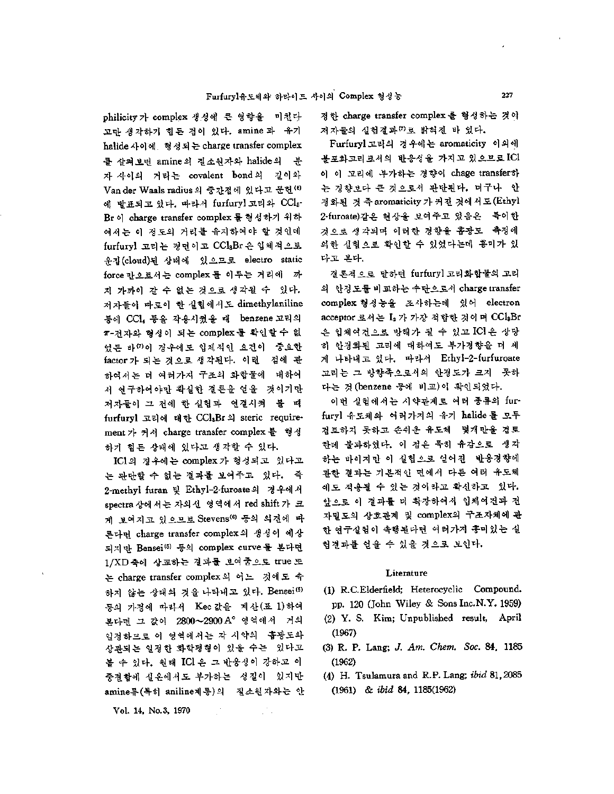philicity 가 complex 생성에 큰 영향을 미친다 고만 생각하기 힘든 점이 있다. amine 과 유기 halide 사이에 형성되는 charge transfer complex 를 살펴보면 amine의 질소원자와 halide의 "분 자사이의 거리는 covalent bond 길이와 Van der Waals radius의 중간점에 있다고 문헌<sup>(6)</sup> 발표되고 있다. 따라서 furfuryl 고리와 CC13- Br 이 charge transfer complex 를 형성하기 위하 여서는 이 정도의 거리를 유지하여야 할 것인데 furfuryl 고리는 경면이고 CClsBr 은 입체적으로 운집 (cloud) 상태에 으므로 electro static force 만으로서는 complex 를 이루는 거리에 까 지 가까이 갈 수 없는 것으로 생각될 수 있다. 저자들이 따로이 실험에서도 dimethylaniline 등에 CCl, 등을 작용시켰을 때 - benzene 고리의  $\pi$ -전자와 형성이 되는 complex 를 확인할수 없 었든 바<sup>00</sup>이 경우에도 입체적인 요건이 *중*요한 factor 가 되는 것으로 생각된다. 이런 점에 관 하여서는 여러가지 구조의 화합물에 대하여 서 연구하여야만 확실한 결론을 얻을 것이기만 저자들이 그 전에 한 실험과 연결시켜 볼 때 furfuryl 고리에 대한 CClaBr 의 steric requirement 가 커서 charge transfer complex 를 형성 하기 힘든 상태에 있다고 각할 있다.

IC1의 경우에는 complex 가 형성되고 있다고 는 판단할 수 없는 결과를 보여주고 있다. 즉 2-methyl furan 및 Ethyl-2-furoate의 경우에서 spectra 상에서는 자외선 영역에서 red shift 가 크 게 보여지고 있으므로 Stevens® 동의 의견에 따 른다면 charge transfer complex의 생성이 예상 되지만 Bensei(5<sup>&</sup>gt; 등의 complex curve 본다면 1/XD 축에 상교하는 결과를 보여줌으로 true 또 는 charge transfer complex 의 어느 것에도 속 하지 않는 상태의 것을 나타내고 있다. Bensei® 등의 가정에 따라서 Kec 값을 계산(표 1)하여 본다면 값이 2800—2900A° 영역에서 거의 일정하므로 이 영역에서는 각 시약의 -흡광도와 상관되는 일정한 화학평형이 있을 수는 있다고 볼 수 있다. 원래 ICl 은 그 반응성이 강하고 이 중결합에 실온에서도 부가하는 질이 있지만 amine류(특히 aniline계통)의 질소원자와는 안

Vol. 14, No. 3, 1970

정한 charge transfer complex 을 형성하는 것이 저자들의 실험결과(?)로 밝혀진 바 있다.

Furfuryl고리의 경우에는 aromaticity 이외에 불포화고리로서의 반응성을 가지고 있으므로 **I**Cl 이 이 고리에 부가하는 경향이 chage transfer하 는 경향보다 큰 것으로서 판단된다. 더구나 안 정화된 것 즉 aromaticity 가 커진 것에서도 (Ethyl 2-furoate)같은 현상을 보여주고 있음은 특이한 것으로 생각되며 이러한 경향을 흡광도 축정에 의한 실험으로 확인할 수 있었다는데 흥미가 있 다고 본다.

결론적으로 말하면 furfuryl 고리화합물의 고리 의 안정도를 비교하는 수단으로서 charge transfer complex 형성능을 조사하는데 있어 electron acceptor 로서는 L2 가 가장 적합한 것이며 CCl&Br 은 입체여건으로 방해가 될 수 있고 ICl은 상당 히 안정화된 고리에 대하여도 부가경향을 더 세 나타내고 있다. 따라서 Ethyl-2-furfuroate 고리는 그 방향족으로서의 안정도가 크지 못하 다는 것(benzene 등에 비교)이 확인되었다.

이번 실험에서는 시약관계로 여러 종류의 furfuryl 유도체와 여러가지의 유기 halide를 모두 검토하지 못하고 손쉬운 유도체 몇개만을 검토 한데 불과하였다. 점은 특히 유감으로 생각 하는 바이지만 실험으로 얻어진 반응경향에 관한 결과는 기본적인 면에서 다른 여러 유도체 에도 적용될 있는 것이라고 확신하고 있다. 앞으로 이 결과를 더 확장하여서 입체여건과 전 자밀도의 상호관계 및 complex의 구조자체에 관 한 연구실험이 속행된다면 여러가지 흥미있는 실 험결과를 얻을 있을 것으로 보인다.

### **Literature**

- (1) R.C.Elderfield; Heterocyclic Compound. pp. 120 (John Wiley & Sons Inc.N.Y. 1959)
- (2) Y. S. Kim; Unpublished result, April (1967)
- (3) R. P. Lang; *J. Am. Chem. Soc.* 84, 1185 (1962)
- (4) H. Tsulamu a and R.P. Lang; *ibid* 81,2085 (1961) *& ibid* 84, 1185(1962)